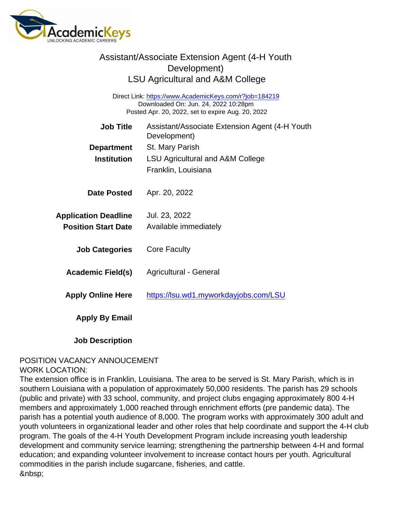| Assistant/Associate Extension Agent (4-H Youth<br>Development)<br><b>LSU Agricultural and A&amp;M College</b>                                       |                                                                |
|-----------------------------------------------------------------------------------------------------------------------------------------------------|----------------------------------------------------------------|
| Direct Link: https://www.AcademicKeys.com/r?job=184219<br>Downloaded On: Jun. 24, 2022 10:28pm<br>Posted Apr. 20, 2022, set to expire Aug. 20, 2022 |                                                                |
| <b>Job Title</b>                                                                                                                                    | Assistant/Associate Extension Agent (4-H Youth<br>Development) |
| Department                                                                                                                                          | St. Mary Parish                                                |
| Institution                                                                                                                                         | <b>LSU Agricultural and A&amp;M College</b>                    |
|                                                                                                                                                     | Franklin, Louisiana                                            |
| Date Posted                                                                                                                                         | Apr. 20, 2022                                                  |
| <b>Application Deadline</b>                                                                                                                         | Jul. 23, 2022                                                  |
| <b>Position Start Date</b>                                                                                                                          | Available immediately                                          |
| <b>Job Categories</b>                                                                                                                               | <b>Core Faculty</b>                                            |
| Academic Field(s)                                                                                                                                   | <b>Agricultural - General</b>                                  |
| <b>Apply Online Here</b>                                                                                                                            | https://lsu.wd1.myworkdayjobs.com/LSU                          |
| Apply By Email                                                                                                                                      |                                                                |

Job Description

#### POSITION VACANCY ANNOUCEMENT WORK LOCATION:

The extension office is in Franklin, Louisiana. The area to be served is St. Mary Parish, which is in southern Louisiana with a population of approximately 50,000 residents. The parish has 29 schools (public and private) with 33 school, community, and project clubs engaging approximately 800 4-H members and approximately 1,000 reached through enrichment efforts (pre pandemic data). The parish has a potential youth audience of 8,000. The program works with approximately 300 adult and youth volunteers in organizational leader and other roles that help coordinate and support the 4-H club program. The goals of the 4-H Youth Development Program include increasing youth leadership development and community service learning; strengthening the partnership between 4-H and formal education; and expanding volunteer involvement to increase contact hours per youth. Agricultural commodities in the parish include sugarcane, fisheries, and cattle.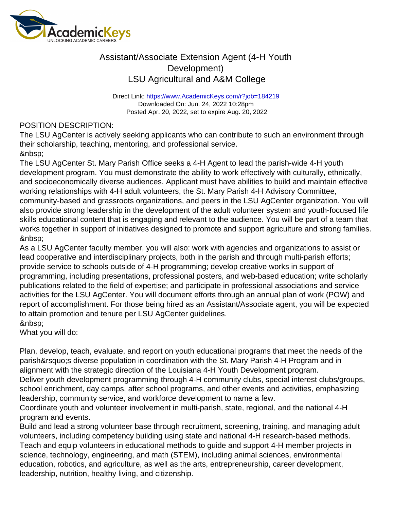Direct Link: <https://www.AcademicKeys.com/r?job=184219> Downloaded On: Jun. 24, 2022 10:28pm Posted Apr. 20, 2022, set to expire Aug. 20, 2022

#### POSITION DESCRIPTION:

The LSU AgCenter is actively seeking applicants who can contribute to such an environment through their scholarship, teaching, mentoring, and professional service. 

The LSU AgCenter St. Mary Parish Office seeks a 4-H Agent to lead the parish-wide 4-H youth development program. You must demonstrate the ability to work effectively with culturally, ethnically, and socioeconomically diverse audiences. Applicant must have abilities to build and maintain effective working relationships with 4-H adult volunteers, the St. Mary Parish 4-H Advisory Committee, community-based and grassroots organizations, and peers in the LSU AgCenter organization. You will also provide strong leadership in the development of the adult volunteer system and youth-focused life skills educational content that is engaging and relevant to the audience. You will be part of a team that works together in support of initiatives designed to promote and support agriculture and strong families. &nbsp:

As a LSU AgCenter faculty member, you will also: work with agencies and organizations to assist or lead cooperative and interdisciplinary projects, both in the parish and through multi-parish efforts; provide service to schools outside of 4-H programming; develop creative works in support of programming, including presentations, professional posters, and web-based education; write scholarly publications related to the field of expertise; and participate in professional associations and service activities for the LSU AgCenter. You will document efforts through an annual plan of work (POW) and report of accomplishment. For those being hired as an Assistant/Associate agent, you will be expected to attain promotion and tenure per LSU AgCenter guidelines.

What you will do:

Plan, develop, teach, evaluate, and report on youth educational programs that meet the needs of the parish's diverse population in coordination with the St. Mary Parish 4-H Program and in alignment with the strategic direction of the Louisiana 4-H Youth Development program. Deliver youth development programming through 4-H community clubs, special interest clubs/groups, school enrichment, day camps, after school programs, and other events and activities, emphasizing leadership, community service, and workforce development to name a few.

Coordinate youth and volunteer involvement in multi-parish, state, regional, and the national 4-H program and events.

Build and lead a strong volunteer base through recruitment, screening, training, and managing adult volunteers, including competency building using state and national 4-H research-based methods. Teach and equip volunteers in educational methods to guide and support 4-H member projects in science, technology, engineering, and math (STEM), including animal sciences, environmental education, robotics, and agriculture, as well as the arts, entrepreneurship, career development, leadership, nutrition, healthy living, and citizenship.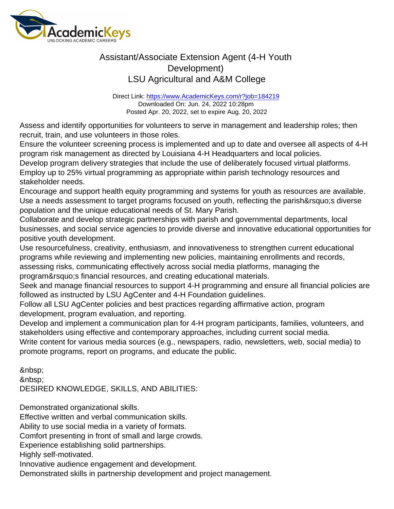Direct Link: <https://www.AcademicKeys.com/r?job=184219> Downloaded On: Jun. 24, 2022 10:28pm Posted Apr. 20, 2022, set to expire Aug. 20, 2022

Assess and identify opportunities for volunteers to serve in management and leadership roles; then recruit, train, and use volunteers in those roles.

Ensure the volunteer screening process is implemented and up to date and oversee all aspects of 4-H program risk management as directed by Louisiana 4-H Headquarters and local policies.

Develop program delivery strategies that include the use of deliberately focused virtual platforms. Employ up to 25% virtual programming as appropriate within parish technology resources and stakeholder needs.

Encourage and support health equity programming and systems for youth as resources are available. Use a needs assessment to target programs focused on youth, reflecting the parish's diverse population and the unique educational needs of St. Mary Parish.

Collaborate and develop strategic partnerships with parish and governmental departments, local businesses, and social service agencies to provide diverse and innovative educational opportunities for positive youth development.

Use resourcefulness, creativity, enthusiasm, and innovativeness to strengthen current educational programs while reviewing and implementing new policies, maintaining enrollments and records, assessing risks, communicating effectively across social media platforms, managing the

program' sfinancial resources, and creating educational materials.

Seek and manage financial resources to support 4-H programming and ensure all financial policies are followed as instructed by LSU AgCenter and 4-H Foundation guidelines.

Follow all LSU AgCenter policies and best practices regarding affirmative action, program development, program evaluation, and reporting.

Develop and implement a communication plan for 4-H program participants, families, volunteers, and stakeholders using effective and contemporary approaches, including current social media.

Write content for various media sources (e.g., newspapers, radio, newsletters, web, social media) to promote programs, report on programs, and educate the public.

 &nbsp: DESIRED KNOWLEDGE, SKILLS, AND ABILITIES:

Demonstrated organizational skills.

Effective written and verbal communication skills.

Ability to use social media in a variety of formats.

Comfort presenting in front of small and large crowds.

Experience establishing solid partnerships.

Highly self-motivated.

Innovative audience engagement and development.

Demonstrated skills in partnership development and project management.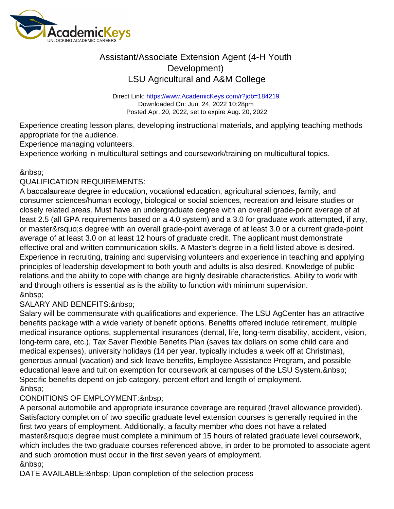Direct Link: <https://www.AcademicKeys.com/r?job=184219> Downloaded On: Jun. 24, 2022 10:28pm Posted Apr. 20, 2022, set to expire Aug. 20, 2022

Experience creating lesson plans, developing instructional materials, and applying teaching methods appropriate for the audience.

Experience managing volunteers.

Experience working in multicultural settings and coursework/training on multicultural topics.

### 

### QUALIFICATION REQUIREMENTS:

A baccalaureate degree in education, vocational education, agricultural sciences, family, and consumer sciences/human ecology, biological or social sciences, recreation and leisure studies or closely related areas. Must have an undergraduate degree with an overall grade-point average of at least 2.5 (all GPA requirements based on a 4.0 system) and a 3.0 for graduate work attempted, if any, or master's degree with an overall grade-point average of at least 3.0 or a current grade-point average of at least 3.0 on at least 12 hours of graduate credit. The applicant must demonstrate effective oral and written communication skills. A Master's degree in a field listed above is desired. Experience in recruiting, training and supervising volunteers and experience in teaching and applying principles of leadership development to both youth and adults is also desired. Knowledge of public relations and the ability to cope with change are highly desirable characteristics. Ability to work with and through others is essential as is the ability to function with minimum supervision. &nbsp:

### SALARY AND BENEFITS: & nbsp;

Salary will be commensurate with qualifications and experience. The LSU AgCenter has an attractive benefits package with a wide variety of benefit options. Benefits offered include retirement, multiple medical insurance options, supplemental insurances (dental, life, long-term disability, accident, vision, long-term care, etc.), Tax Saver Flexible Benefits Plan (saves tax dollars on some child care and medical expenses), university holidays (14 per year, typically includes a week off at Christmas), generous annual (vacation) and sick leave benefits, Employee Assistance Program, and possible educational leave and tuition exemption for coursework at campuses of the LSU System. Specific benefits depend on job category, percent effort and length of employment. 

### CONDITIONS OF EMPLOYMENT:

A personal automobile and appropriate insurance coverage are required (travel allowance provided). Satisfactory completion of two specific graduate level extension courses is generally required in the first two years of employment. Additionally, a faculty member who does not have a related master' sdegree must complete a minimum of 15 hours of related graduate level coursework, which includes the two graduate courses referenced above, in order to be promoted to associate agent and such promotion must occur in the first seven years of employment. &nbsp:

DATE AVAILABLE: & nbsp; Upon completion of the selection process